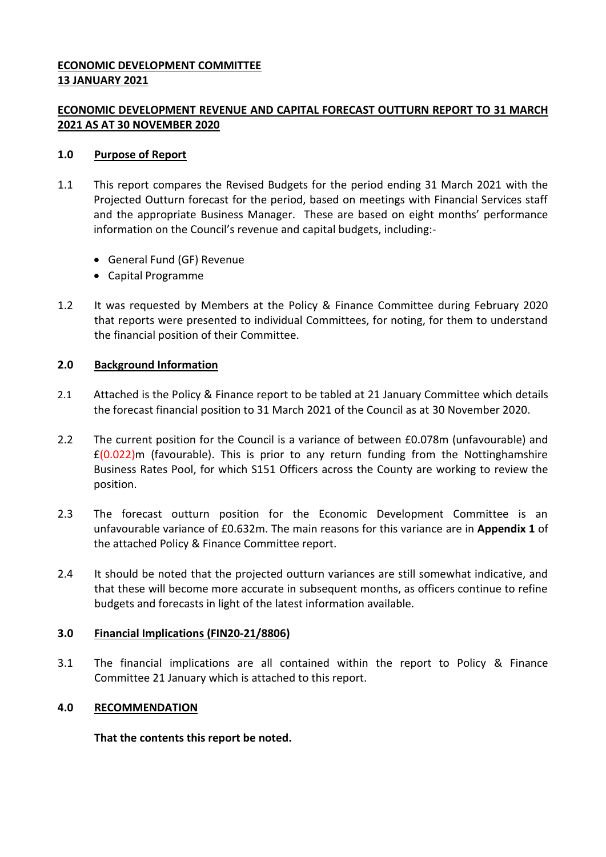## **ECONOMIC DEVELOPMENT COMMITTEE 13 JANUARY 2021**

## **ECONOMIC DEVELOPMENT REVENUE AND CAPITAL FORECAST OUTTURN REPORT TO 31 MARCH 2021 AS AT 30 NOVEMBER 2020**

### **1.0 Purpose of Report**

- 1.1 This report compares the Revised Budgets for the period ending 31 March 2021 with the Projected Outturn forecast for the period, based on meetings with Financial Services staff and the appropriate Business Manager. These are based on eight months' performance information on the Council's revenue and capital budgets, including:-
	- General Fund (GF) Revenue
	- Capital Programme
- 1.2 It was requested by Members at the Policy & Finance Committee during February 2020 that reports were presented to individual Committees, for noting, for them to understand the financial position of their Committee.

### **2.0 Background Information**

- 2.1 Attached is the Policy & Finance report to be tabled at 21 January Committee which details the forecast financial position to 31 March 2021 of the Council as at 30 November 2020.
- 2.2 The current position for the Council is a variance of between £0.078m (unfavourable) and  $£(0.022)$ m (favourable). This is prior to any return funding from the Nottinghamshire Business Rates Pool, for which S151 Officers across the County are working to review the position.
- 2.3 The forecast outturn position for the Economic Development Committee is an unfavourable variance of £0.632m. The main reasons for this variance are in **Appendix 1** of the attached Policy & Finance Committee report.
- 2.4 It should be noted that the projected outturn variances are still somewhat indicative, and that these will become more accurate in subsequent months, as officers continue to refine budgets and forecasts in light of the latest information available.

## **3.0 Financial Implications (FIN20-21/8806)**

3.1 The financial implications are all contained within the report to Policy & Finance Committee 21 January which is attached to this report.

#### **4.0 RECOMMENDATION**

**That the contents this report be noted.**